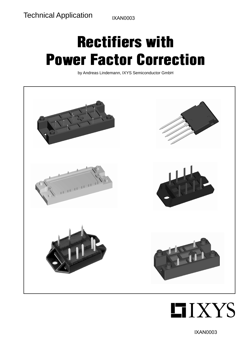IXAN0003

# Rectifiers with Power Factor Correction

by Andreas Lindemann, IXYS Semiconductor GmbH





IXAN0003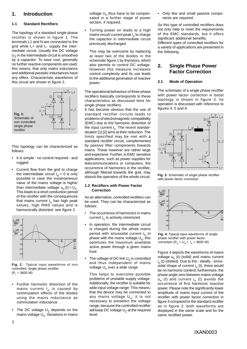### **1. Introduction**

#### **1.1 Standard Rectifiers**

The topology of a standard single phase rectifier is shown in figure 1. The terminals L1 and N are connected to the grid while L+ and L- supply the intermediate circuit. Usually the DC voltage  $U<sub>z</sub>$  in the intermediate circuit is smoothed by a capacitor. To save cost, generally no further reactive components are used; this means, that only mains inductance and additional parasitic inductances have any effect. Characteristic waveforms of this circuit are shown in figure 2.



This topology can be characterized as follows:

- It is simple no control required and rugged.
- Current flow from the grid to charge the intermediate circuit  $I_d > 0$  is only possible in case the instantaneous value of the mains voltage is higher than intermediate voltage  $u_n(t) > U_7$ . This leads to a short conduction period of the rectifier with the consequences that mains current  $I_n$  has high peak values, high RMS values and is harmonically distorted - see figure 2.



**Fig. 2** : Typical input waveforms of non controlled, single phase rectifier  $(P_n = 3600 W)$ 

- Further harmonic distortion of the mains current  $I_n$  is caused by commutation effects of the diodes using the mains inductance as commutation inductance.
- The DC voltage  $U<sub>z</sub>$  depends on the mains voltage  $U_n$ . Variations in mains

voltage  $U_n$  thus have to be compensated in a further stage of power section, if required.

• Turning power on leads to a high mains inrush current peak I<sub>n</sub> to charge the capacitor in intermediate circuit previously discharged.

This may be overcome by replacing at least two of the diodes in the schematic figure 1 by thyristors, which also permits to control DC voltage. However this measure increases control complexity and its use leads to the additional generation of reactive power.

The operational behaviour of three phase rectifiers basically corresponds to these characteristics as discussed here for single phase rectifiers.

It has become obvious that the use of standard rectifier circuits leads to problems of electromagnetic compatibility (EMC) due to the harmonic distortion of the input current  $I_n$ . The recent standardization [1] [2] aims at their reduction. The limits specified may be met with a standard rectifier circuit, complemented by passive filter components towards mains. These however are rather large and expensive. Further, in EMC sensitive applications, such as power supplies for telecommunications or computers, the occurrence of harmonics in the rectifier, although filtered towards the grid, may disturb the operation of the whole circuit.

#### **1.2 Rectifiers with Power Factor Correction**

As an alternative, controlled rectifiers can be used. They can be characterized as follows:

- The occurrence of harmonics in mains current  $I_n$  is actively minimized.
- In operation, the intermediate circuit is charged during the whole mains period with sinusiodal current  $I_n$  in phase with the mains voltage  $U_n$ ; this optimizes the maximum available active power through a given mains fuse.
- The voltage of DC link  $U<sub>7</sub>$  is controlled and thus independent of mains voltage U<sub>n</sub> over a wide range.

This helps to overcome possible problems of unstable supply voltage. Additionally, the rectifier is suitable for wide input voltage range: This means, that the device may be connected to any mains voltage  $U_n$ ; it is not necessary to preselect the voltage range, because the controlled rectifier will keep DC voltage  $U<sub>z</sub>$  at the required level.

• Only few and small passive components are required.

So this type of controlled rectifiers does not only help to meet the requirements of the EMC standards, but it offers significant additional benefits. Different types of controlled rectifiers for a variety of applications are presented in the following.

### **2. Single Phase Power Factor Correction**

#### **2.1 Mode of Operation**

The schematic of a single phase rectifier with power factor correction in boost topology is shown in figure 3. Its operation is discussed with reference to figures 4, 5 and 6:



**Fig. 3:** Schematic of single phase rectifier with power factor correction



**Fig. 4:** Typical input waveforms of single phase rectifier with power factor correction  $(P_n = U_n \cdot I_n = 3600 \text{ W})$ 

Figure 4 depicts the waveforms of mains voltage  $u_n$  (t) (solid) and mains current i n (t) (dotted). Due to the - ideally - sinusoidal shape of current  $i_n$  (t), there would be no harmonic content; furthermore, the phase angle zero between mains voltage  $u_n$  (t) and current i<sub>n</sub> (t) avoids the occurrence of first harmonic reactive power. Please note the significantly lower amplitude of mains input current of the rectifier with power factor correction in figure 4 compared to the standard rectifier as in figure 2; both waveforms are displayed in the same scale and for the same rectified power.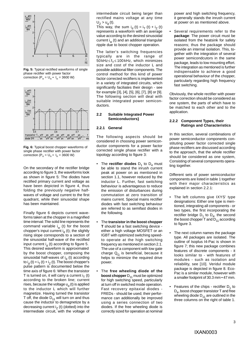

**Fig. 5:** Typical rectified waveforms of single phase rectifier with power factor correction  $(P_n = U_n \cdot I_n = 3600 \text{ W})$ 



**Fig. 6:** Typical boost chopper waveforms of single phase rectifier with power factor correction  $(P_n = U_n \cdot I_n = 3600 \text{ W})$ 

On the secondary of the rectifier bridge according to figure 3, the waveforms look as shown in figure 5: The diodes have rectified primary current and voltage as have been depicted in figure 4, thus folding the previously negative halfwaves of voltage and current to the first quadrant, while their sinusoidal shape has been maintained.

Finally figure 6 depicts current waveforms taken at the chopper in a magnified time interval: The solid line represents the command variable  $i_w$  (t) for the boost chopper's input current  $i_d$  (t); the slightly rising slope corresponds to a section of the sinusoidal half-wave of the rectified input current  $i_d$  (t) according to figure 5. This desired waveform is approximated by the boost chopper, composing the sinusoidal half-waves of  $i_d$  (t) according to  $i<sub>d</sub>$  (t) =  $i<sub>T</sub>$  (t) +  $i<sub>z</sub>$  (t). The boost chopper's pulse pattern is documented below the time axis of figure 6: When the transistor T is turned on, it will carry a current  $i<sub>T</sub>$  (t) according to the broken line; current rises, because the voltage  $u_{d}$  (t) is applied to the inductor L which will further magnetize. Having turned the transistor T off, the diode  $D_{11}$  will turn on and thus cause the inductor to demagnetize by a decreasing current  $i<sub>z</sub>$  (t) (dotted) into the intermediate circuit, with the voltage of

intermediate circuit being larger than rectified mains voltage at any time  $U_7 > U_d(t)$ .

This way, the sum  $i_d$  (t) =  $i_T$  (t) +  $i_Z$  (t) represents a waveform with an average value according to the desired sinusoidal current  $i_w$  (t) and an additional triangular ripple due to boost chopper operation.

The latter's switching frequencies typically are in the range of 50 kHz≤f<sub>T</sub>≤100 kHz, which minimizes size and cost of the inductor L and possible additional filter components. The control method for this kind of power factor corrected rectifiers is implemented in a variety of integrated circuits, which significantly faciliates their design - see for example [3], [4], [5], [6], [7], [8] or [9]. The following section will deal with suitable integrated power semiconductors.

#### **2.2 Suitable Integrated Power Semiconductors}**

#### **2.2.1 General**

The following aspects should be considered in choosing power semiconductor components for a power factor corrected single phase rectifier with a topology according to figure 3:

- The **rectifier diodes**  $D_1$  to  $D_4$  must be able to stand the inrush current peak at power on as mentioned in section 1.1, however reduced by the inductor L. Further, fast switching behaviour is advantageous to reduce the emission of disturbances during commutation at zero transition of mains current. Special mains rectifier diodes with fast switching behaviour are referred to as semifast diodes in the following.
- The **transistor in the boost chopper T** should be a fast switching device either a high voltage MOSFET or an IGBT with optimized switching speedto operate at the high switching frequency as mentioned in section 2.1. The use of a component with low gate charge  $Q_G$  is beneficial, because it helps to minimize the required drive power.
- The **free wheeling diode of the boost chopper** D<sub>11</sub> must be optimized for high switching speed, particularly at turn off in switched mode operation. Fast recovery epitaxial diodes - FREDs - should be used; their performance can additionally be improved using a series connection of two diodes. If the free wheeling diode is correctly sized for operation at nominal

power and high switching frequency, it generally stands the inrush current at power on as mentioned above.

• Several requirements refer to the **package**: The power circuit must be isolated from the heatsink for safety reasons; thus the package should provide an internal isolation. This, together with the integration of several power semicondcutors in the same package, leads to low mounting effort. The integration as mentioned is further indispensable to achieve a good operational behaviour of the chopper, particularly regarding high frequency fast switching.

Obviously, the whole rectifier with power factor correction should be considered as one system, the parts of which have to be matched to each other and to the application.

#### **2.2.2 Component Types, their Ratings and Characteristics**

In this section, several combinations of power semiconductor components constituting power factor corrected single phase rectifiers are discussed according to the approach, that the whole rectifier should be considered as one system, Consisting of several components operating together.

Different sets of power semiconductor components are listed in table 1 together with their major characteristics as explained in section 2.2.1:

- The left columns give IXYS' type designations: Either one type is mentioned, integrating all components - or two types, the first incorporating the rectifier bridge  $D_1$  to  $D_4$ , the second the boost chopper  $T$  and  $D_{11}$  according to figure 3.
- The next column names the package type. All packages are isolated. The outline of Isoplus I4-Pac is shown in figure 7; this new package combines features of discrete components - it looks similar to - with features of modules - such as isolation and reliability, see [10]. Veridul module package is depicted in figure 8. Eco-Pac is a similar module, however with a smaller footprint of 30.3 mm • 47 mm.
- Features of the chips rectifier  $D_1$  to  $D_4$ , boost chopper transistor T and free wheeling diode  $D_{11}$  are outlined in the three columns on the right of table 1.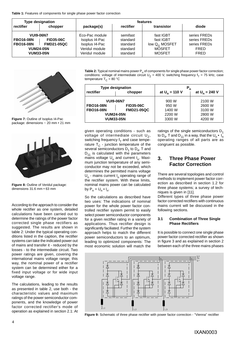| <b>Type designation</b>                                                                          |                                       | features                                                                               |                                                          |                                                                              |                                                                            |
|--------------------------------------------------------------------------------------------------|---------------------------------------|----------------------------------------------------------------------------------------|----------------------------------------------------------|------------------------------------------------------------------------------|----------------------------------------------------------------------------|
| rectifier                                                                                        | chopper                               | package(s)                                                                             | rectifier                                                | transistor                                                                   | diode                                                                      |
| <b>VUI9-06N7</b><br><b>FBO16-08N</b><br><b>FBO16-08N</b><br><b>VUM24-05N</b><br><b>VUM33-05N</b> | <b>FID35-06C</b><br><b>FMD21-05QC</b> | Eco-Pac module<br>Isoplus I4-Pac<br>Isoplus I4-Pac<br>Veridul module<br>Veridul module | semifast<br>standard<br>standard<br>standard<br>standard | fast IGBT<br>fast IGBT<br>low $Q_G$ MOSFET<br><b>MOSFET</b><br><b>MOSFET</b> | series FREDs<br>series FREDs<br>series FREDs<br><b>FRED</b><br><b>FRED</b> |



**Figure 7:** Outline of Isoplus I4-Pac package: dimensions ~ 20 mm • 21 mm



**Figure 8:** Outline of Veridul package: dimensions 31.6 mm • 63 mm

According to the approach to consider the whole rectifier as one system, detailed calculations have been carried out to determine the ratings of the power factor corrected single phase rectifiers as suggested. The results are shown in table 2: Under the typical operating conditions listed in the caption, the rectifier systems can take the indicated power out of mains and transfer it - reduced by the losses - to the intermediate circuit. Two power ratings are given, covering the international mains voltage range; this way, the nominal power of a rectifier system can be determined either for a fixed input voltage or for wide input voltage range.

The calculations, leading to the results as presented in table 2, use both - the characteristic values and maximum ratings of the power semiconductor components, and the knowledge of power factor corrected rectifier's mode of operation as explained in section 2.1: At Table 2: Typical nominal mains power P<sub>n</sub> of components for single phase power factor correction; conditions: voltage of intermediate circuit U<sub>Z</sub> = 400 V, switching frequency f<sub>T</sub> = 75 kHz, case temperature  $T_C = 80 °C$ 

| <b>Type designation</b> |                   | $P_{n}$          |                  |  |
|-------------------------|-------------------|------------------|------------------|--|
| rectifier               | chopper           | at $U_n = 110 V$ | at $U_n = 240 V$ |  |
| <b>VUI9-06N7</b>        |                   | 900 W            | 2100 W           |  |
| <b>FBO16-08N</b>        | <b>FID35-06C</b>  | 950 W            | 2600 W           |  |
| <b>FBO16-08N</b>        | <b>FMD21-05QC</b> | 1400 W           | 3100 W           |  |
| <b>VUM24-05N</b>        |                   | 2200 W           | 2800 W           |  |
| <b>VUM33-05N</b>        |                   | 3300 W           | 4200 W           |  |

given operating conditions - such as voltage of intermediate circuit  $U_7$ , switching frequency  $f<sub>T</sub>$  and case temperature  $T_C$  - junction temperature of the several semiconductors  $D_1$  to  $D_4$ , T and  $D_{11}$  is calculated with the parameters mains voltage  $U_n$  and current  $I_n$ . Maximum junction temperature of any semiconductor may not be exceeded, which determines the permitted mains voltage  $U_n$  - mains current  $I_n$  operating range of the rectifier system. With these limits, nominal mains power can be calculated by  $P_n = U_n \cdot I_n$ .

So the calculations as described have two uses: The indications of nominal power for the whole power factor controlled rectifier system permit to easily select power semiconductor components for a given rectifier rating in a variety of applications. Thus rectifier design is significantly faciliated. Further the system approach helps to match the different power semiconductors to an optimum, leading to optimized components: The most economic solution will match the

ratings of the single semiconductors  $D_1$ to  $D_4$ , T and  $D_{11}$  in a way, that the  $U_n \cdot I_n$ operating ranges of all parts are as congruent as possible.

#### **3. Three Phase Power Factor Correction**

There are several topologies and control methods to implement power factor correction as described in section 1.2 for three phase systems; a survey of techniques is given in [11].

Different types of three phase power factor corrected rectifiers with continuous mains current will be discussed in the following sections.

#### **3.1 Combination of Three Single Phase Rectifiers**

It is possible to connect one single phase power factor corrected rectifier as shown in figure 3 and as explained in section 2 between each of the three mains phases



**Figure 9:** Schematic of three phase rectifier with power factor correction - ''Vienna'' rectifier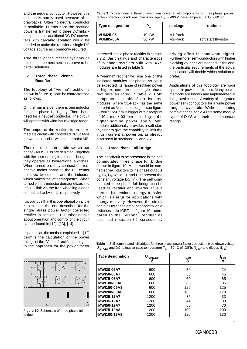and the neutral conductor. However this solution is hardly used because of its drawbacks: Often no neutral conductor is available. Furthermore the rectified power is transferred to three DC links one per phase; additional DC-DC converters with galvanic isolation would be needed to make the rectifier a single DC voltage source as commonly required.

True three phase rectifier systems as outlined in the next sections prove to be better solutions.

#### **3.2 Three Phase ''Vienna'' Rectifier**

The topology of ''Vienna'' rectifier is shown in figure 9; it can be characterized as follows:

On the mains side, there is one inductor for each phase  $L_1$ ,  $L_2$ ,  $L_3$ . There is no need for a neutral conductor. The circuit will operate with wide input voltage range.

The output of the rectifier is an intermediate circuit with controlled DC voltage between L+ and L- with center point MP.

There is one controllable switch per phase - MOSFETs are depicted. Together with the surrounding four diodes bridges, they operate as bidirectional switches: When turned on, they connect the respective mains phase to the DC center point via two diodes and the inductor, which makes the latter magnetize. When turned off, the inductor demagnetizes into the DC link via the free wheeling diodes connected to L+ or L- respectively.

It is obvious that this operational principle is similar to the one described for the single phase power factor corrected rectifier in section 2.1. Further details about operation and control of the circuit can be found in [12], [13], [14].

In particular, the method explained in [12] permits the calculation of the power ratings of the ''Vienna'' rectifier analogous to the approach for the power factor



**Figure 10:** Schematic of three phase full bridge

**Table 3:** Typical nominal three phase mains power P<sub>n</sub> of components for three phase power factor correction; conditions: mains voltage U<sub> $_{\text{4n}}$ </sub> = 400 V, case temperature T<sub>C</sub> = 80 °C

| <b>Type designation</b> | n               | package              | options              |
|-------------------------|-----------------|----------------------|----------------------|
| <b>VUM25-05</b>         | $10 \text{ kW}$ | V <sub>1</sub> -Pack | soft start thyristor |
| <b>VUM85-05A</b>        | 30 kW           | $V2$ -Pack           |                      |

corrected single phase rectifier in section 2.2.2. Basic ratings and characteristics of ''Vienna'' rectifiers built with IXYS modules are listed in table 3.

A ''Vienna'' rectifier will use one of the indicated modules per phase. As could be expected, its range of rectified power is higher, compared to single phase rectifiers as rated in table 2. Both components in table 3 are isolated modules, where V1-Pack has the same footprint as Veridul package - see figure 8 - while V2-Pack is bigger with a footprint of 40.4 mm • 93 mm according to the higher nominal power. The VUM85 module additionally provides a soft start thyristor to give the capability to limit the inrush current at power on, as already discussed in sections 1.1 and 2.2.1.

#### **3.3 Three Phase Full Bridge**

The last circuit to be presented is the self commutated three phase full bridge shown in figure 10. Mains would be connected via inductors to the phase outputs  $L_1$ ,  $L_2$ ,  $L_3$ , while  $L+$  and  $L-$  represent the constant voltage DC link. The self commutated three phase full bridge can be used as rectifier and inverter; thus it permits bidirectional energy transfer, which is useful for applications with energy recovery. However, the circuit contains twice the amount of controllable switches - six IGBTs in figure 10 - compared to the ''Vienna'' rectifier as described in section 3.2; consequently driving effort is somewhat higher. Furthermore, semiconductors with higher blocking voltages are needed. In the end, the particular requirements of the actual application will decide which solution to prefer.

Applications of this topology are wide spread in power electronics. Many control methods are known and implemented in integrated circuits. A variety of integrated power semiconductors for a wide power range is available. Without claiming completeness, table 4 lists some module types of IXYS with their most important **ratings** 

| Table 4: Self commutated full bridges for three phase power factor correction; breakdown voltage                                              |  |
|-----------------------------------------------------------------------------------------------------------------------------------------------|--|
| ${\sf U}_{\sf (Br)CEs}$ and DC ratings at case temperature T <sub>C</sub> = 80 °C of IGBTs (I <sub>C80</sub> ) and diodes (I <sub>F80</sub> ) |  |

| <b>Type designation</b> | $\mathsf{U}_{\mathsf{(Br)CES}}$ | $^\circ$ C80<br>A | <sup>1</sup> F80<br>А |
|-------------------------|---------------------------------|-------------------|-----------------------|
| <b>MWI30-06A7</b>       | 600                             | 30                | 24                    |
| <b>MWI50-06A7</b>       | 600                             | 50                | 45                    |
| <b>MWI75-06A7</b>       | 600                             | 60                | 85                    |
| <b>MWI100-06A8</b>      | 600                             | 85                | 85                    |
| <b>MWI150-06A8</b>      | 600                             | 125               | 125                   |
| <b>MWI200-06A8</b>      | 600                             | 165               | 170                   |
| <b>MWI25-12A7</b>       | 1200                            | 35                | 33                    |
| <b>MWI35-12A7</b>       | 1200                            | 44                | 33                    |
| <b>MWI50-12A7</b>       | 1200                            | 60                | 70                    |
| <b>MWI75-12A8</b>       | 1200                            | 100               | 100                   |
| <b>MWI100-12A8</b>      | 1200                            | 120               | 130                   |